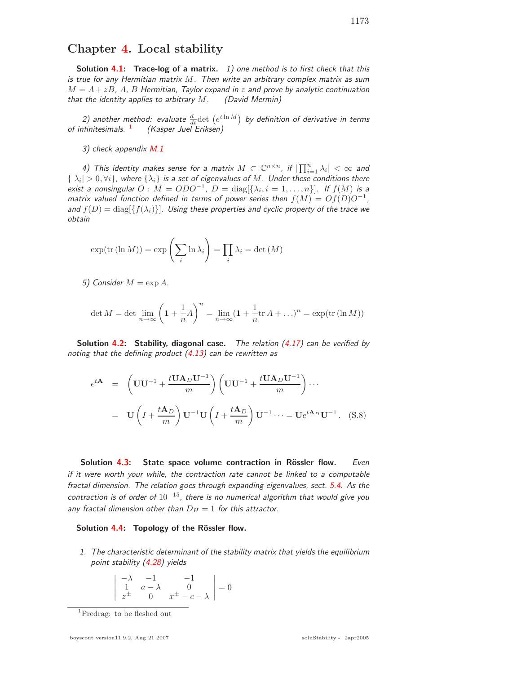**Solution 4.1: Trace-log of a matrix.** 1) one method is to first check that this is true for any Hermitian matrix M. Then write an arbitrary complex matrix as sum  $M = A + zB$ , A, B Hermitian, Taylor expand in z and prove by analytic continuation that the identity applies to arbitrary  $M$ . (David Mermin)

2) another method: evaluate  $\frac{d}{dt}$ det  $(e^{t \ln M})$  by definition of derivative in terms of infinitesimals.  $1$  (Kasper Juel Eriksen)

3) check appendix M.1

4) This identity makes sense for a matrix  $M\subset\mathbb{C}^{n\times n}$ , if  $|\prod_{i=1}^n\lambda_i|<\infty$  and  $\{|\lambda_i|>0, \forall i\}$ , where  $\{\lambda_i\}$  is a set of eigenvalues of  $M.$  Under these conditions there exist a nonsingular  $O : M = ODO^{-1}$ ,  $D = \text{diag}[\{\lambda_i, i = 1, ..., n\}]$ . If  $f(M)$  is a matrix valued function defined in terms of power series then  $f(M) = Of(D)O^{-1}$ , and  $f(D) = \text{diag}[\{f(\lambda_i)\}]$ . Using these properties and cyclic property of the trace we obtain

$$
\exp(\text{tr}(\ln M)) = \exp\left(\sum_{i} \ln \lambda_{i}\right) = \prod_{i} \lambda_{i} = \det(M)
$$

5) Consider  $M = \exp A$ .

$$
\det M = \det \lim_{n \to \infty} \left( 1 + \frac{1}{n} A \right)^n = \lim_{n \to \infty} (1 + \frac{1}{n} \text{tr } A + \dots)^n = \exp(\text{tr } (\ln M))
$$

**Solution 4.2: Stability, diagonal case.** The relation (4.17) can be verified by noting that the defining product  $(4.13)$  can be rewritten as

$$
e^{t\mathbf{A}} = \left(\mathbf{U}\mathbf{U}^{-1} + \frac{t\mathbf{U}\mathbf{A}_D\mathbf{U}^{-1}}{m}\right) \left(\mathbf{U}\mathbf{U}^{-1} + \frac{t\mathbf{U}\mathbf{A}_D\mathbf{U}^{-1}}{m}\right) \cdots
$$

$$
= \mathbf{U}\left(I + \frac{t\mathbf{A}_D}{m}\right) \mathbf{U}^{-1} \mathbf{U}\left(I + \frac{t\mathbf{A}_D}{m}\right) \mathbf{U}^{-1} \cdots = \mathbf{U}e^{t\mathbf{A}_D}\mathbf{U}^{-1}. \quad (S.8)
$$

**Solution 4.3: State space volume contraction in Rössler flow.** Even if it were worth your while, the contraction rate cannot be linked to a computable fractal dimension. The relation goes through expanding eigenvalues, sect. 5.4. As the contraction is of order of  $10^{-15}$ , there is no numerical algorithm that would give you any fractal dimension other than  $D_H = 1$  for this attractor.

## **Solution 4.4: Topology of the Rössler flow.**

1. The characteristic determinant of the stability matrix that yields the equilibrium point stability (4.28) yields

$$
\left| \begin{array}{ccc} -\lambda & -1 & -1 \\ 1 & a - \lambda & 0 \\ z^{\pm} & 0 & x^{\pm} - c - \lambda \end{array} \right| = 0
$$

<sup>1</sup>Predrag: to be fleshed out